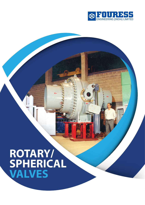

# **ROTARY/ SPHERICAL VALVES**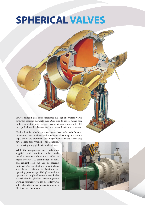# **SPHERICAL VALVES**

Fouress brings in decades of experience in design of Spherical Valves for hydro schemes the world over. Over time, Spherical Valves have undergone a lot of design changes to cope with waterheads upto 1000 mtrs or the lower heads associated with water distribution schemes.

Used at the inlet of hydro turbines, these valves perform the function of isolating water turbines and emergency closure against turbine trips. one of the prominent advantages of these valves is that they

have a clear bore when in open condition, thus offering a negligible friction head loss.

While the low-pressure rotary valves are supplied with resilient rubber seals, metalling seating surfaces are provided for higher pressures. A combination of metal and resilient seals can also be specially designed. Our manufactiong range includes sizes between 400mm to 2600mm and operating pressure upto 100kg/cm<sup>2</sup> with the operation accomplised by one or two double acting hydraulic cylinders. Depending on the working parameters, we can also offer valves with alternative drive mechanism namely Electrical and Pneumatic.

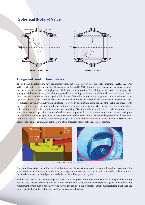## **Spherical (Rotary) Valve**



### **Design and construction features:**

The body and the rotor of the valve are normally made out of Cast Carbon Steel material confirming to ATSM A 216 Gr. WCB or fabricated using carbon steel blades as per AS5M A516CM70. The valve body is made of two halves in which the spherical rotor provides through passage (full bore) in open position. The sliding metallic seat is made up of high strength stainless steel casting. Metallic seat provided with sliding mechanism, renders totally free movement of rotor dring operation and the seat is engaged in full closure of the valve, automatically by penstock pressure through water hydraulic control system. Penstock water pressure is applied through an operating valve on receipt of appropriate signal from turbine governor whereby sliding metallic seat traves by about 10mm along the axis of the valve and engages with the seal on the rotor. Depending on the size of the valve, flow, working pressure, etc., the seals on rotor can be offered either with a nitrile rubber or with stainless steel seal ring. Also, these valves are offered with twin seal arrangement, wherein for normal operation, one set of seal and seat are provided on the down-stream side of the valve facing the turbine inlet. For emergency/maintenance requirements, another set of sliding seat and seal is provided on the upstream side. Both the seats operate on the same principle of water hydraulics and are actuated by control system when appropriate signal is given. Leak tightness and other characteristics of both the seals are identical.



*Details of the movable seat ring on the body*

Normally, these valves for turbine inlet applications are offered with hydraulic actuation through a servomotor. The actuation of this servomotor can be done by applying penstock water pressure on one side. Alternatively, the servomotor can also be actuated by the oil pressure avalable for the turbine governor system.

Turbine inlet valve is a critical emergency device in hydro power station, whose operation is integrated with amny systems and controls.Hence this valve should render faultless response to emergency signals. If you have any requirement of this high technology product, you can count on our technical backup, manufacturing excellence and design capabilities added to the long standing experience in this field.